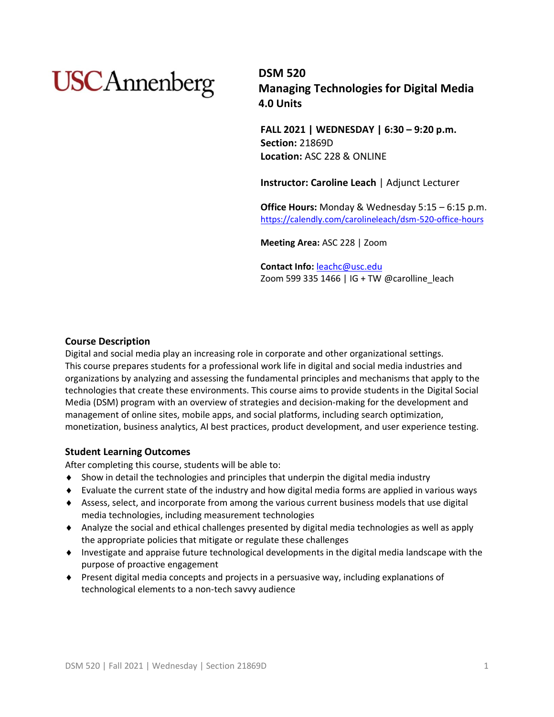# **USC**Annenberg

**DSM 520 Managing Technologies for Digital Media 4.0 Units**

**FALL 2021 | WEDNESDAY | 6:30 – 9:20 p.m. Section:** 21869D **Location:** ASC 228 & ONLINE

**Instructor: Caroline Leach** | Adjunct Lecturer

**Office Hours:** Monday & Wednesday 5:15 – 6:15 p.m. <https://calendly.com/carolineleach/dsm-520-office-hours>

**Meeting Area:** ASC 228 | Zoom

**Contact Info:** [leachc@usc.edu](mailto:leachc@usc.edu) Zoom 599 335 1466 | IG + TW @carolline\_leach

## **Course Description**

Digital and social media play an increasing role in corporate and other organizational settings. This course prepares students for a professional work life in digital and social media industries and organizations by analyzing and assessing the fundamental principles and mechanisms that apply to the technologies that create these environments. This course aims to provide students in the Digital Social Media (DSM) program with an overview of strategies and decision-making for the development and management of online sites, mobile apps, and social platforms, including search optimization, monetization, business analytics, AI best practices, product development, and user experience testing.

#### **Student Learning Outcomes**

After completing this course, students will be able to:

- Show in detail the technologies and principles that underpin the digital media industry
- Evaluate the current state of the industry and how digital media forms are applied in various ways
- Assess, select, and incorporate from among the various current business models that use digital media technologies, including measurement technologies
- Analyze the social and ethical challenges presented by digital media technologies as well as apply the appropriate policies that mitigate or regulate these challenges
- Investigate and appraise future technological developments in the digital media landscape with the purpose of proactive engagement
- Present digital media concepts and projects in a persuasive way, including explanations of technological elements to a non-tech savvy audience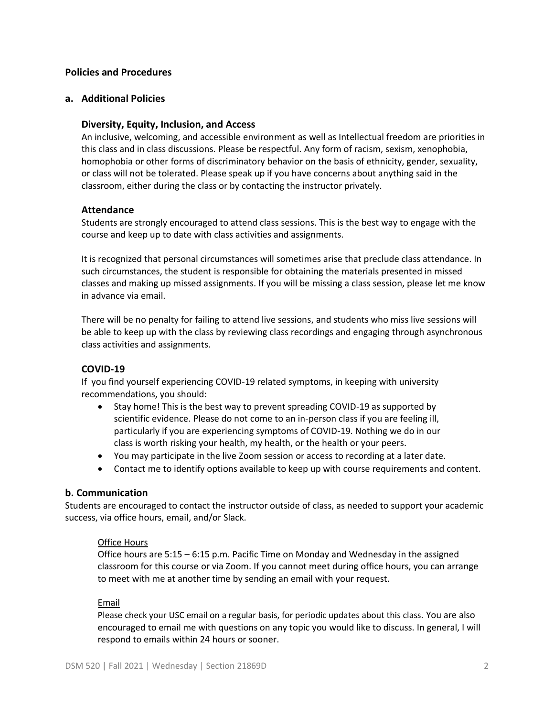## **Policies and Procedures**

## **a. Additional Policies**

## **Diversity, Equity, Inclusion, and Access**

An inclusive, welcoming, and accessible environment as well as Intellectual freedom are priorities in this class and in class discussions. Please be respectful. Any form of racism, sexism, xenophobia, homophobia or other forms of discriminatory behavior on the basis of ethnicity, gender, sexuality, or class will not be tolerated. Please speak up if you have concerns about anything said in the classroom, either during the class or by contacting the instructor privately.

## **Attendance**

Students are strongly encouraged to attend class sessions. This is the best way to engage with the course and keep up to date with class activities and assignments.

It is recognized that personal circumstances will sometimes arise that preclude class attendance. In such circumstances, the student is responsible for obtaining the materials presented in missed classes and making up missed assignments. If you will be missing a class session, please let me know in advance via email.

There will be no penalty for failing to attend live sessions, and students who miss live sessions will be able to keep up with the class by reviewing class recordings and engaging through asynchronous class activities and assignments.

## **COVID-19**

If you find yourself experiencing COVID-19 related symptoms, in keeping with university recommendations, you should:

- Stay home! This is the best way to prevent spreading COVID-19 as supported by scientific evidence. Please do not come to an in-person class if you are feeling ill, particularly if you are experiencing symptoms of COVID-19. Nothing we do in our class is worth risking your health, my health, or the health or your peers.
- You may participate in the live Zoom session or access to recording at a later date.
- Contact me to identify options available to keep up with course requirements and content.

#### **b. Communication**

Students are encouraged to contact the instructor outside of class, as needed to support your academic success, via office hours, email, and/or Slack.

#### Office Hours

Office hours are 5:15 – 6:15 p.m. Pacific Time on Monday and Wednesday in the assigned classroom for this course or via Zoom. If you cannot meet during office hours, you can arrange to meet with me at another time by sending an email with your request.

#### Email

Please check your USC email on a regular basis, for periodic updates about this class. You are also encouraged to email me with questions on any topic you would like to discuss. In general, I will respond to emails within 24 hours or sooner.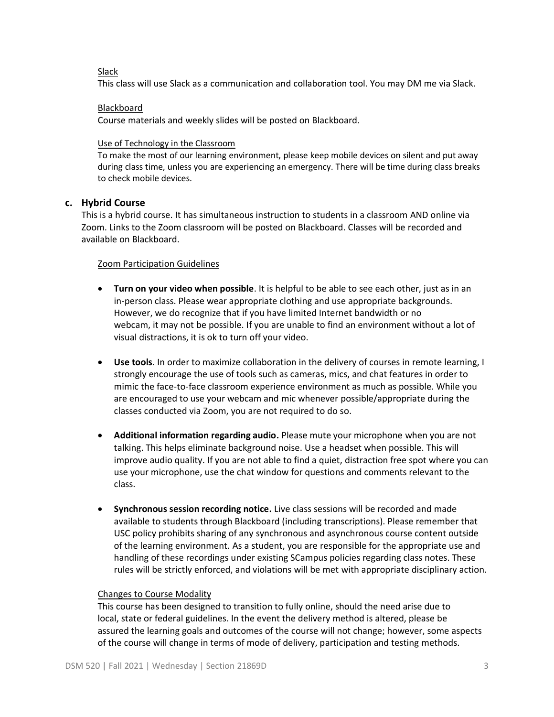## Slack

This class will use Slack as a communication and collaboration tool. You may DM me via Slack.

## Blackboard

Course materials and weekly slides will be posted on Blackboard.

#### Use of Technology in the Classroom

To make the most of our learning environment, please keep mobile devices on silent and put away during class time, unless you are experiencing an emergency. There will be time during class breaks to check mobile devices.

## **c. Hybrid Course**

This is a hybrid course. It has simultaneous instruction to students in a classroom AND online via Zoom. Links to the Zoom classroom will be posted on Blackboard. Classes will be recorded and available on Blackboard.

## Zoom Participation Guidelines

- **Turn on your video when possible**. It is helpful to be able to see each other, just as in an in-person class. Please wear appropriate clothing and use appropriate backgrounds. However, we do recognize that if you have limited Internet bandwidth or no webcam, it may not be possible. If you are unable to find an environment without a lot of visual distractions, it is ok to turn off your video.
- **Use tools**. In order to maximize collaboration in the delivery of courses in remote learning, I strongly encourage the use of tools such as cameras, mics, and chat features in order to mimic the face-to-face classroom experience environment as much as possible. While you are encouraged to use your webcam and mic whenever possible/appropriate during the classes conducted via Zoom, you are not required to do so.
- **Additional information regarding audio.** Please mute your microphone when you are not talking. This helps eliminate background noise. Use a headset when possible. This will improve audio quality. If you are not able to find a quiet, distraction free spot where you can use your microphone, use the chat window for questions and comments relevant to the class.
- **Synchronous session recording notice.** Live class sessions will be recorded and made available to students through Blackboard (including transcriptions). Please remember that USC policy prohibits sharing of any synchronous and asynchronous course content outside of the learning environment. As a student, you are responsible for the appropriate use and handling of these recordings under existing SCampus policies regarding class notes. These rules will be strictly enforced, and violations will be met with appropriate disciplinary action.

## Changes to Course Modality

This course has been designed to transition to fully online, should the need arise due to local, state or federal guidelines. In the event the delivery method is altered, please be assured the learning goals and outcomes of the course will not change; however, some aspects of the course will change in terms of mode of delivery, participation and testing methods.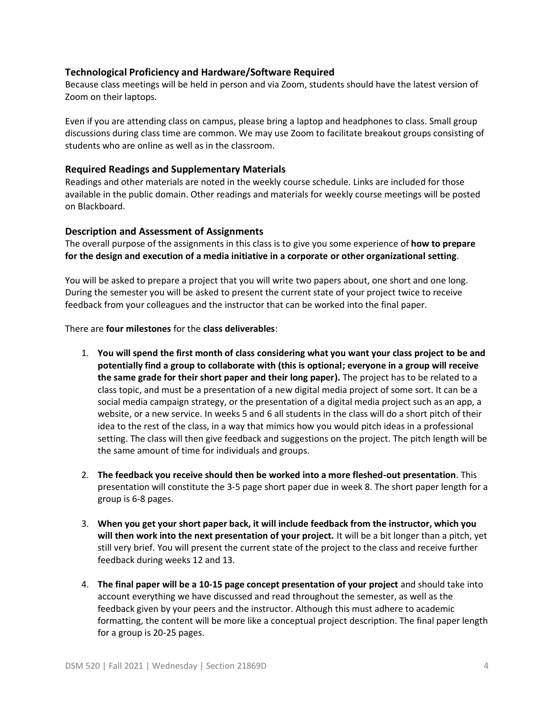## **Technological Proficiency and Hardware/Software Required**

Because class meetings will be held in person and via Zoom, students should have the latest version of Zoom on their laptops.

Even if you are attending class on campus, please bring a laptop and headphones to class. Small group discussions during class time are common. We may use Zoom to facilitate breakout groups consisting of students who are online as well as in the classroom.

## **Required Readings and Supplementary Materials**

Readings and other materials are noted in the weekly course schedule. Links are included for those available in the public domain. Other readings and materials for weekly course meetings will be posted on Blackboard.

## **Description and Assessment of Assignments**

The overall purpose of the assignments in this class is to give you some experience of **how to prepare for the design and execution of a media initiative in a corporate or other organizational setting**.

You will be asked to prepare a project that you will write two papers about, one short and one long. During the semester you will be asked to present the current state of your project twice to receive feedback from your colleagues and the instructor that can be worked into the final paper.

There are **four milestones** for the **class deliverables**:

- 1. **You will spend the first month of class considering what you want your class project to be and potentially find a group to collaborate with (this is optional; everyone in a group will receive the same grade for their short paper and their long paper).** The project has to be related to a class topic, and must be a presentation of a new digital media project of some sort. It can be a social media campaign strategy, or the presentation of a digital media project such as an app, a website, or a new service. In weeks 5 and 6 all students in the class will do a short pitch of their idea to the rest of the class, in a way that mimics how you would pitch ideas in a professional setting. The class will then give feedback and suggestions on the project. The pitch length will be the same amount of time for individuals and groups.
- 2. **The feedback you receive should then be worked into a more fleshed-out presentation**. This presentation will constitute the 3-5 page short paper due in week 8. The short paper length for a group is 6-8 pages.
- 3. **When you get your short paper back, it will include feedback from the instructor, which you will then work into the next presentation of your project.** It will be a bit longer than a pitch, yet still very brief. You will present the current state of the project to the class and receive further feedback during weeks 12 and 13.
- 4. **The final paper will be a 10-15 page concept presentation of your project** and should take into account everything we have discussed and read throughout the semester, as well as the feedback given by your peers and the instructor. Although this must adhere to academic formatting, the content will be more like a conceptual project description. The final paper length for a group is 20-25 pages.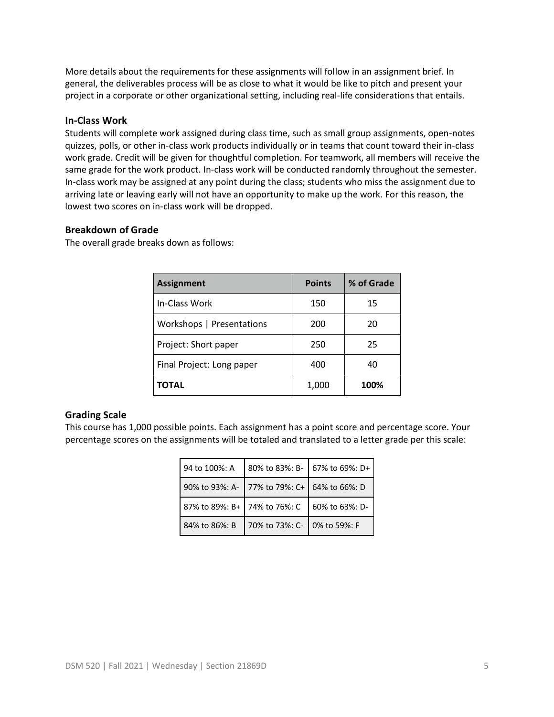More details about the requirements for these assignments will follow in an assignment brief. In general, the deliverables process will be as close to what it would be like to pitch and present your project in a corporate or other organizational setting, including real-life considerations that entails.

## **In-Class Work**

Students will complete work assigned during class time, such as small group assignments, open-notes quizzes, polls, or other in-class work products individually or in teams that count toward their in-class work grade. Credit will be given for thoughtful completion. For teamwork, all members will receive the same grade for the work product. In-class work will be conducted randomly throughout the semester. In-class work may be assigned at any point during the class; students who miss the assignment due to arriving late or leaving early will not have an opportunity to make up the work. For this reason, the lowest two scores on in-class work will be dropped.

## **Breakdown of Grade**

The overall grade breaks down as follows:

| <b>Assignment</b>         | <b>Points</b> | % of Grade |
|---------------------------|---------------|------------|
| In-Class Work             | 150           | 15         |
| Workshops   Presentations | 200           | 20         |
| Project: Short paper      | 250           | 25         |
| Final Project: Long paper | 400           | 40         |
| TOTAL                     | 1,000         | 100%       |

## **Grading Scale**

This course has 1,000 possible points. Each assignment has a point score and percentage score. Your percentage scores on the assignments will be totaled and translated to a letter grade per this scale:

| 94 to 100%: A                | 80% to 83%: B-                              | 67% to 69%: D+ |
|------------------------------|---------------------------------------------|----------------|
|                              | 90% to 93%: A- 77% to 79%: C+ 64% to 66%: D |                |
| 87% to 89%: B+ 74% to 76%: C |                                             | 60% to 63%: D- |
| 84% to 86%: B                | 70% to 73%: C- 0% to 59%: F                 |                |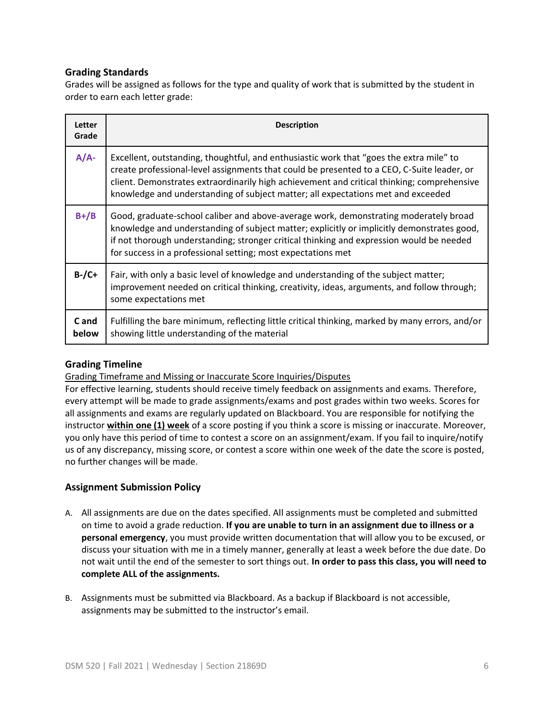## **Grading Standards**

Grades will be assigned as follows for the type and quality of work that is submitted by the student in order to earn each letter grade:

| Letter<br>Grade | <b>Description</b>                                                                                                                                                                                                                                                                                                                                                      |
|-----------------|-------------------------------------------------------------------------------------------------------------------------------------------------------------------------------------------------------------------------------------------------------------------------------------------------------------------------------------------------------------------------|
| $A/A$ -         | Excellent, outstanding, thoughtful, and enthusiastic work that "goes the extra mile" to<br>create professional-level assignments that could be presented to a CEO, C-Suite leader, or<br>client. Demonstrates extraordinarily high achievement and critical thinking; comprehensive<br>knowledge and understanding of subject matter; all expectations met and exceeded |
| $B+ / B$        | Good, graduate-school caliber and above-average work, demonstrating moderately broad<br>knowledge and understanding of subject matter; explicitly or implicitly demonstrates good,<br>if not thorough understanding; stronger critical thinking and expression would be needed<br>for success in a professional setting; most expectations met                          |
| $B$ -/C+        | Fair, with only a basic level of knowledge and understanding of the subject matter;<br>improvement needed on critical thinking, creativity, ideas, arguments, and follow through;<br>some expectations met                                                                                                                                                              |
| C and<br>below  | Fulfilling the bare minimum, reflecting little critical thinking, marked by many errors, and/or<br>showing little understanding of the material                                                                                                                                                                                                                         |

## **Grading Timeline**

Grading Timeframe and Missing or Inaccurate Score Inquiries/Disputes

For effective learning, students should receive timely feedback on assignments and exams. Therefore, every attempt will be made to grade assignments/exams and post grades within two weeks. Scores for all assignments and exams are regularly updated on Blackboard. You are responsible for notifying the instructor **within one (1) week** of a score posting if you think a score is missing or inaccurate. Moreover, you only have this period of time to contest a score on an assignment/exam. If you fail to inquire/notify us of any discrepancy, missing score, or contest a score within one week of the date the score is posted, no further changes will be made.

## **Assignment Submission Policy**

- A. All assignments are due on the dates specified. All assignments must be completed and submitted on time to avoid a grade reduction. **If you are unable to turn in an assignment due to illness or a personal emergency**, you must provide written documentation that will allow you to be excused, or discuss your situation with me in a timely manner, generally at least a week before the due date. Do not wait until the end of the semester to sort things out. **In order to pass this class, you will need to complete ALL of the assignments.**
- B. Assignments must be submitted via Blackboard. As a backup if Blackboard is not accessible, assignments may be submitted to the instructor's email.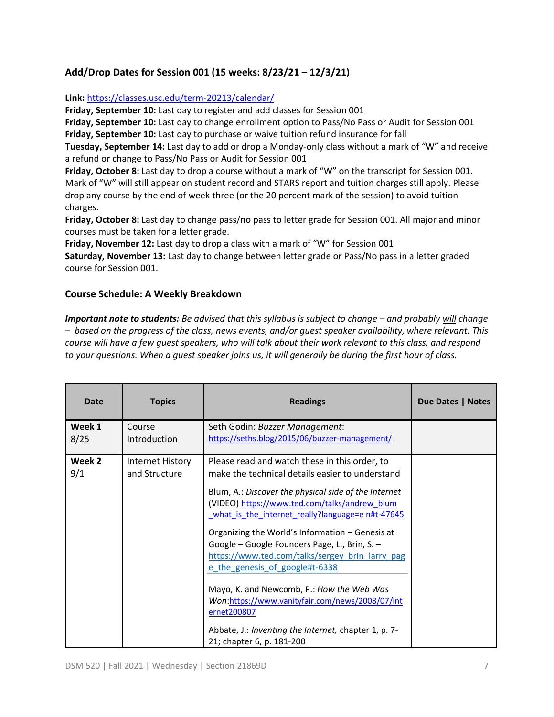## **Add/Drop Dates for Session 001 (15 weeks: 8/23/21 – 12/3/21)**

## **Link:** <https://classes.usc.edu/term-20213/calendar/>

**Friday, September 10:** Last day to register and add classes for Session 001

**Friday, September 10:** Last day to change enrollment option to Pass/No Pass or Audit for Session 001 **Friday, September 10:** Last day to purchase or waive tuition refund insurance for fall

**Tuesday, September 14:** Last day to add or drop a Monday-only class without a mark of "W" and receive a refund or change to Pass/No Pass or Audit for Session 001

**Friday, October 8:** Last day to drop a course without a mark of "W" on the transcript for Session 001. Mark of "W" will still appear on student record and STARS report and tuition charges still apply. Please drop any course by the end of week three (or the 20 percent mark of the session) to avoid tuition charges.

**Friday, October 8:** Last day to change pass/no pass to letter grade for Session 001. All major and minor courses must be taken for a letter grade.

**Friday, November 12:** Last day to drop a class with a mark of "W" for Session 001

**Saturday, November 13:** Last day to change between letter grade or Pass/No pass in a letter graded course for Session 001.

## **Course Schedule: A Weekly Breakdown**

*Important note to students: Be advised that this syllabus is subject to change – and probably will change – based on the progress of the class, news events, and/or guest speaker availability, where relevant. This course will have a few guest speakers, who will talk about their work relevant to this class, and respond to your questions. When a guest speaker joins us, it will generally be during the first hour of class.* 

| Date           | <b>Topics</b>                     | <b>Readings</b>                                                                                                                                                                                                                                                                                                                                                                                                                                                                                                                                                       | Due Dates   Notes |
|----------------|-----------------------------------|-----------------------------------------------------------------------------------------------------------------------------------------------------------------------------------------------------------------------------------------------------------------------------------------------------------------------------------------------------------------------------------------------------------------------------------------------------------------------------------------------------------------------------------------------------------------------|-------------------|
| Week 1<br>8/25 | Course<br><b>Introduction</b>     | Seth Godin: Buzzer Management:<br>https://seths.blog/2015/06/buzzer-management/                                                                                                                                                                                                                                                                                                                                                                                                                                                                                       |                   |
| Week 2<br>9/1  | Internet History<br>and Structure | Please read and watch these in this order, to<br>make the technical details easier to understand<br>Blum, A.: Discover the physical side of the Internet<br>(VIDEO) https://www.ted.com/talks/andrew blum<br>what_is_the_internet_really?language=e n#t-47645<br>Organizing the World's Information - Genesis at<br>Google - Google Founders Page, L., Brin, S. -<br>https://www.ted.com/talks/sergey brin larry pag<br>e the genesis of google#t-6338<br>Mayo, K. and Newcomb, P.: How the Web Was<br>Won:https://www.vanityfair.com/news/2008/07/int<br>ernet200807 |                   |
|                |                                   | Abbate, J.: Inventing the Internet, chapter 1, p. 7-<br>21; chapter 6, p. 181-200                                                                                                                                                                                                                                                                                                                                                                                                                                                                                     |                   |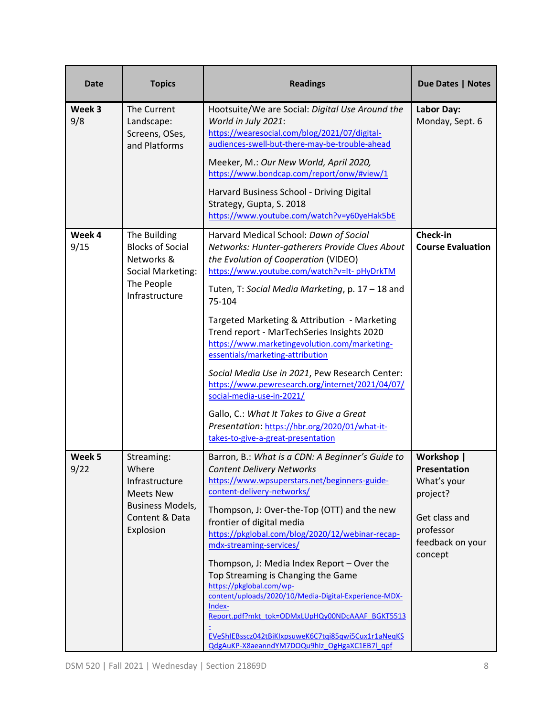| <b>Date</b>    | <b>Topics</b>                                                                     | <b>Readings</b>                                                                                                                                                                                                                    | Due Dates   Notes                                         |
|----------------|-----------------------------------------------------------------------------------|------------------------------------------------------------------------------------------------------------------------------------------------------------------------------------------------------------------------------------|-----------------------------------------------------------|
| Week 3<br>9/8  | The Current<br>Landscape:<br>Screens, OSes,<br>and Platforms                      | Hootsuite/We are Social: Digital Use Around the<br>World in July 2021:<br>https://wearesocial.com/blog/2021/07/digital-<br>audiences-swell-but-there-may-be-trouble-ahead                                                          | <b>Labor Day:</b><br>Monday, Sept. 6                      |
|                |                                                                                   | Meeker, M.: Our New World, April 2020,<br>https://www.bondcap.com/report/onw/#view/1                                                                                                                                               |                                                           |
|                |                                                                                   | Harvard Business School - Driving Digital<br>Strategy, Gupta, S. 2018<br>https://www.youtube.com/watch?v=y60yeHak5bE                                                                                                               |                                                           |
| Week 4<br>9/15 | The Building<br><b>Blocks of Social</b><br>Networks &<br><b>Social Marketing:</b> | Harvard Medical School: Dawn of Social<br>Networks: Hunter-gatherers Provide Clues About<br>the Evolution of Cooperation (VIDEO)<br>https://www.youtube.com/watch?v=It-pHyDrkTM                                                    | Check-in<br><b>Course Evaluation</b>                      |
|                | The People<br>Infrastructure                                                      | Tuten, T: Social Media Marketing, p. 17 - 18 and<br>75-104                                                                                                                                                                         |                                                           |
|                |                                                                                   | Targeted Marketing & Attribution - Marketing<br>Trend report - MarTechSeries Insights 2020<br>https://www.marketingevolution.com/marketing-<br>essentials/marketing-attribution                                                    |                                                           |
|                |                                                                                   | Social Media Use in 2021, Pew Research Center:<br>https://www.pewresearch.org/internet/2021/04/07/<br>social-media-use-in-2021/                                                                                                    |                                                           |
|                |                                                                                   | Gallo, C.: What It Takes to Give a Great<br>Presentation: https://hbr.org/2020/01/what-it-<br>takes-to-give-a-great-presentation                                                                                                   |                                                           |
| Week 5<br>9/22 | Streaming:<br>Where<br>Infrastructure<br><b>Meets New</b>                         | Barron, B.: What is a CDN: A Beginner's Guide to<br><b>Content Delivery Networks</b><br>https://www.wpsuperstars.net/beginners-guide-<br>content-delivery-networks/                                                                | Workshop  <br>Presentation<br>What's your<br>project?     |
|                | <b>Business Models,</b><br>Content & Data<br>Explosion                            | Thompson, J: Over-the-Top (OTT) and the new<br>frontier of digital media<br>https://pkglobal.com/blog/2020/12/webinar-recap-<br>mdx-streaming-services/                                                                            | Get class and<br>professor<br>feedback on your<br>concept |
|                |                                                                                   | Thompson, J: Media Index Report - Over the<br>Top Streaming is Changing the Game<br>https://pkglobal.com/wp-<br>content/uploads/2020/10/Media-Digital-Experience-MDX-<br>Index-<br>Report.pdf?mkt_tok=ODMxLUpHQy00NDcAAAF_BGKT5513 |                                                           |
|                |                                                                                   | EVeShIEBsscz042tBiKlxpsuweK6C7tqi85qwi5Cux1r1aNeqKS<br>QdgAuKP-X8aeanndYM7DOQu9hIz OgHgaXC1EB7I qpf                                                                                                                                |                                                           |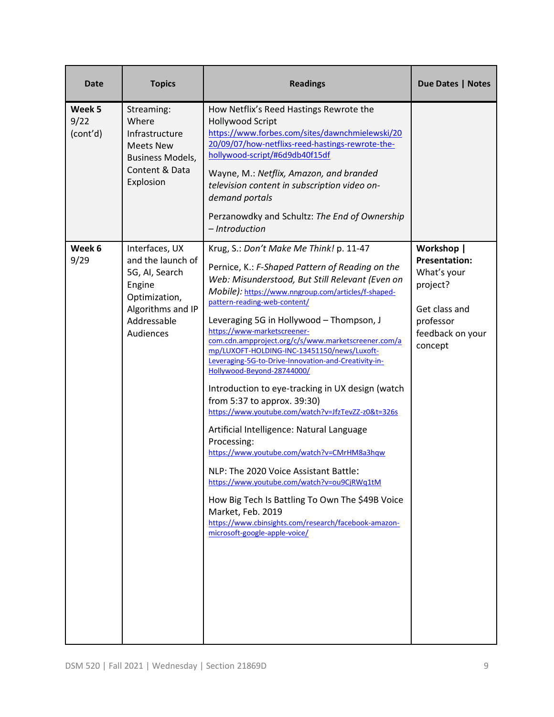| <b>Date</b>                | <b>Topics</b>                                                                                                                     | <b>Readings</b>                                                                                                                                                                                                                                                                                                                                                                                                                                                                                                                                                                                                                                                                                                                                                                                                                                                                                                                                                                                                          | Due Dates   Notes                                                                                                          |
|----------------------------|-----------------------------------------------------------------------------------------------------------------------------------|--------------------------------------------------------------------------------------------------------------------------------------------------------------------------------------------------------------------------------------------------------------------------------------------------------------------------------------------------------------------------------------------------------------------------------------------------------------------------------------------------------------------------------------------------------------------------------------------------------------------------------------------------------------------------------------------------------------------------------------------------------------------------------------------------------------------------------------------------------------------------------------------------------------------------------------------------------------------------------------------------------------------------|----------------------------------------------------------------------------------------------------------------------------|
| Week 5<br>9/22<br>(cont'd) | Streaming:<br>Where<br>Infrastructure<br><b>Meets New</b><br><b>Business Models,</b><br>Content & Data<br>Explosion               | How Netflix's Reed Hastings Rewrote the<br><b>Hollywood Script</b><br>https://www.forbes.com/sites/dawnchmielewski/20<br>20/09/07/how-netflixs-reed-hastings-rewrote-the-<br>hollywood-script/#6d9db40f15df<br>Wayne, M.: Netflix, Amazon, and branded<br>television content in subscription video on-<br>demand portals<br>Perzanowdky and Schultz: The End of Ownership<br>- Introduction                                                                                                                                                                                                                                                                                                                                                                                                                                                                                                                                                                                                                              |                                                                                                                            |
| Week 6<br>9/29             | Interfaces, UX<br>and the launch of<br>5G, AI, Search<br>Engine<br>Optimization,<br>Algorithms and IP<br>Addressable<br>Audiences | Krug, S.: Don't Make Me Think! p. 11-47<br>Pernice, K.: F-Shaped Pattern of Reading on the<br>Web: Misunderstood, But Still Relevant (Even on<br>Mobile): https://www.nngroup.com/articles/f-shaped-<br>pattern-reading-web-content/<br>Leveraging 5G in Hollywood - Thompson, J<br>https://www-marketscreener-<br>com.cdn.ampproject.org/c/s/www.marketscreener.com/a<br>mp/LUXOFT-HOLDING-INC-13451150/news/Luxoft-<br>Leveraging-5G-to-Drive-Innovation-and-Creativity-in-<br>Hollywood-Beyond-28744000/<br>Introduction to eye-tracking in UX design (watch<br>from 5:37 to approx. 39:30)<br>https://www.youtube.com/watch?v=JfzTevZZ-z0&t=326s<br>Artificial Intelligence: Natural Language<br>Processing:<br>https://www.youtube.com/watch?v=CMrHM8a3hqw<br>NLP: The 2020 Voice Assistant Battle:<br>https://www.youtube.com/watch?v=ou9CjRWq1tM<br>How Big Tech Is Battling To Own The \$49B Voice<br>Market, Feb. 2019<br>https://www.cbinsights.com/research/facebook-amazon-<br>microsoft-google-apple-voice/ | Workshop  <br><b>Presentation:</b><br>What's your<br>project?<br>Get class and<br>professor<br>feedback on your<br>concept |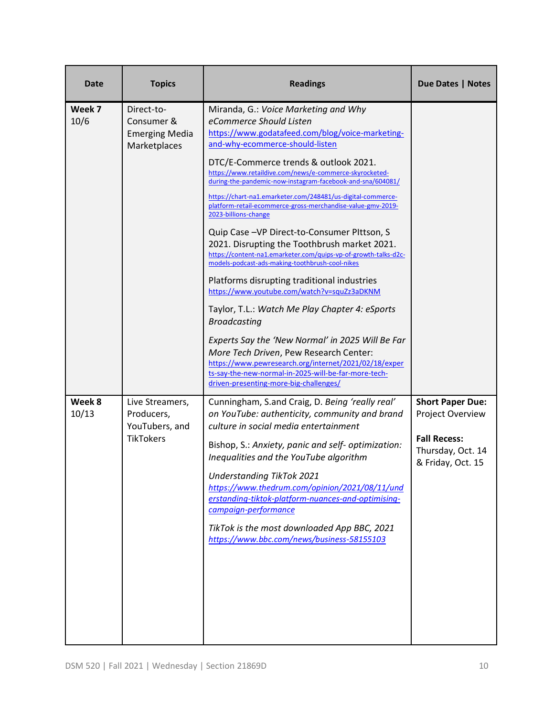| <b>Date</b>     | <b>Topics</b>                                                     | <b>Readings</b>                                                                                                                                                                                                                                       | <b>Due Dates   Notes</b>                                      |
|-----------------|-------------------------------------------------------------------|-------------------------------------------------------------------------------------------------------------------------------------------------------------------------------------------------------------------------------------------------------|---------------------------------------------------------------|
| Week 7<br>10/6  | Direct-to-<br>Consumer &<br><b>Emerging Media</b><br>Marketplaces | Miranda, G.: Voice Marketing and Why<br>eCommerce Should Listen<br>https://www.godatafeed.com/blog/voice-marketing-<br>and-why-ecommerce-should-listen                                                                                                |                                                               |
|                 |                                                                   | DTC/E-Commerce trends & outlook 2021.<br>https://www.retaildive.com/news/e-commerce-skyrocketed-<br>during-the-pandemic-now-instagram-facebook-and-sna/604081/                                                                                        |                                                               |
|                 |                                                                   | https://chart-na1.emarketer.com/248481/us-digital-commerce-<br>platform-retail-ecommerce-gross-merchandise-value-gmv-2019-<br>2023-billions-change                                                                                                    |                                                               |
|                 |                                                                   | Quip Case - VP Direct-to-Consumer PIttson, S<br>2021. Disrupting the Toothbrush market 2021.<br>https://content-na1.emarketer.com/quips-vp-of-growth-talks-d2c-<br>models-podcast-ads-making-toothbrush-cool-nikes                                    |                                                               |
|                 |                                                                   | Platforms disrupting traditional industries<br>https://www.youtube.com/watch?v=squZz3aDKNM                                                                                                                                                            |                                                               |
|                 |                                                                   | Taylor, T.L.: Watch Me Play Chapter 4: eSports<br><b>Broadcasting</b>                                                                                                                                                                                 |                                                               |
|                 |                                                                   | Experts Say the 'New Normal' in 2025 Will Be Far<br>More Tech Driven, Pew Research Center:<br>https://www.pewresearch.org/internet/2021/02/18/exper<br>ts-say-the-new-normal-in-2025-will-be-far-more-tech-<br>driven-presenting-more-big-challenges/ |                                                               |
| Week 8<br>10/13 | Live Streamers,<br>Producers,<br>YouTubers, and                   | Cunningham, S.and Craig, D. Being 'really real'<br>on YouTube: authenticity, community and brand<br>culture in social media entertainment                                                                                                             | <b>Short Paper Due:</b><br>Project Overview                   |
|                 | <b>TikTokers</b>                                                  | Bishop, S.: Anxiety, panic and self- optimization:<br>Inequalities and the YouTube algorithm                                                                                                                                                          | <b>Fall Recess:</b><br>Thursday, Oct. 14<br>& Friday, Oct. 15 |
|                 |                                                                   | <b>Understanding TikTok 2021</b><br>https://www.thedrum.com/opinion/2021/08/11/und<br>erstanding-tiktok-platform-nuances-and-optimising-<br>campaign-performance                                                                                      |                                                               |
|                 |                                                                   | TikTok is the most downloaded App BBC, 2021<br>https://www.bbc.com/news/business-58155103                                                                                                                                                             |                                                               |
|                 |                                                                   |                                                                                                                                                                                                                                                       |                                                               |
|                 |                                                                   |                                                                                                                                                                                                                                                       |                                                               |
|                 |                                                                   |                                                                                                                                                                                                                                                       |                                                               |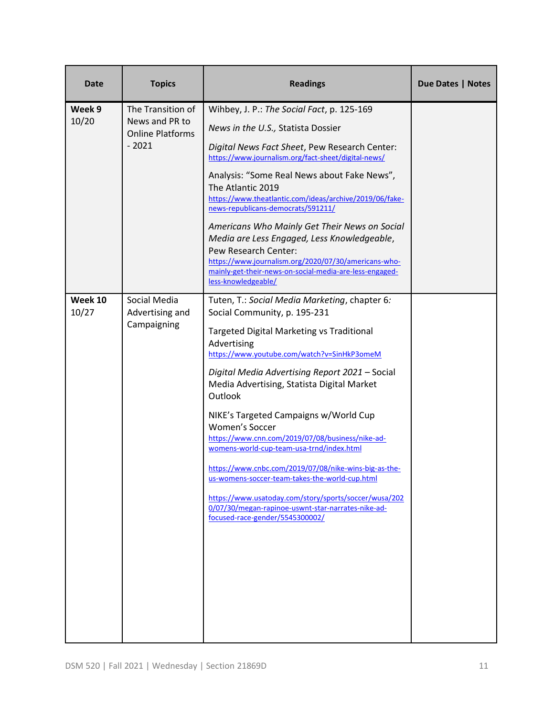| Date             | <b>Topics</b>                                                             | <b>Readings</b>                                                                                                                                                                                                                                                                                                                                                                                                                                                                                                                                                                                                                                                                                                                     | Due Dates   Notes |
|------------------|---------------------------------------------------------------------------|-------------------------------------------------------------------------------------------------------------------------------------------------------------------------------------------------------------------------------------------------------------------------------------------------------------------------------------------------------------------------------------------------------------------------------------------------------------------------------------------------------------------------------------------------------------------------------------------------------------------------------------------------------------------------------------------------------------------------------------|-------------------|
| Week 9<br>10/20  | The Transition of<br>News and PR to<br><b>Online Platforms</b><br>$-2021$ | Wihbey, J. P.: The Social Fact, p. 125-169<br>News in the U.S., Statista Dossier<br>Digital News Fact Sheet, Pew Research Center:<br>https://www.journalism.org/fact-sheet/digital-news/<br>Analysis: "Some Real News about Fake News",<br>The Atlantic 2019<br>https://www.theatlantic.com/ideas/archive/2019/06/fake-<br>news-republicans-democrats/591211/<br>Americans Who Mainly Get Their News on Social<br>Media are Less Engaged, Less Knowledgeable,<br>Pew Research Center:<br>https://www.journalism.org/2020/07/30/americans-who-<br>mainly-get-their-news-on-social-media-are-less-engaged-<br>less-knowledgeable/                                                                                                     |                   |
| Week 10<br>10/27 | Social Media<br>Advertising and<br>Campaigning                            | Tuten, T.: Social Media Marketing, chapter 6:<br>Social Community, p. 195-231<br>Targeted Digital Marketing vs Traditional<br>Advertising<br>https://www.youtube.com/watch?v=SinHkP3omeM<br>Digital Media Advertising Report 2021 - Social<br>Media Advertising, Statista Digital Market<br>Outlook<br>NIKE's Targeted Campaigns w/World Cup<br><b>Women's Soccer</b><br>https://www.cnn.com/2019/07/08/business/nike-ad-<br>womens-world-cup-team-usa-trnd/index.html<br>https://www.cnbc.com/2019/07/08/nike-wins-big-as-the-<br>us-womens-soccer-team-takes-the-world-cup.html<br>https://www.usatoday.com/story/sports/soccer/wusa/202<br>0/07/30/megan-rapinoe-uswnt-star-narrates-nike-ad-<br>focused-race-gender/5545300002/ |                   |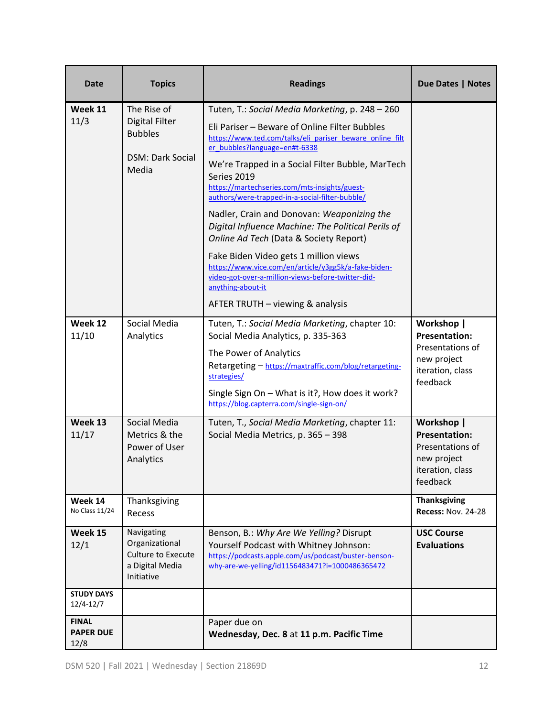| <b>Date</b>                              | <b>Topics</b>                                                                              | <b>Readings</b>                                                                                                                                                                                                                                                                                                                                                                                                                                                                                                                                                                                                                                                                                                                    | Due Dates   Notes                                                                                     |
|------------------------------------------|--------------------------------------------------------------------------------------------|------------------------------------------------------------------------------------------------------------------------------------------------------------------------------------------------------------------------------------------------------------------------------------------------------------------------------------------------------------------------------------------------------------------------------------------------------------------------------------------------------------------------------------------------------------------------------------------------------------------------------------------------------------------------------------------------------------------------------------|-------------------------------------------------------------------------------------------------------|
| Week 11<br>11/3                          | The Rise of<br><b>Digital Filter</b><br><b>Bubbles</b><br><b>DSM: Dark Social</b><br>Media | Tuten, T.: Social Media Marketing, p. 248 - 260<br>Eli Pariser - Beware of Online Filter Bubbles<br>https://www.ted.com/talks/eli pariser beware online filt<br>er bubbles?language=en#t-6338<br>We're Trapped in a Social Filter Bubble, MarTech<br>Series 2019<br>https://martechseries.com/mts-insights/guest-<br>authors/were-trapped-in-a-social-filter-bubble/<br>Nadler, Crain and Donovan: Weaponizing the<br>Digital Influence Machine: The Political Perils of<br>Online Ad Tech (Data & Society Report)<br>Fake Biden Video gets 1 million views<br>https://www.vice.com/en/article/y3gg5k/a-fake-biden-<br>video-got-over-a-million-views-before-twitter-did-<br>anything-about-it<br>AFTER TRUTH - viewing & analysis |                                                                                                       |
| Week 12<br>11/10                         | Social Media<br>Analytics                                                                  | Tuten, T.: Social Media Marketing, chapter 10:<br>Social Media Analytics, p. 335-363<br>The Power of Analytics<br>Retargeting - https://maxtraffic.com/blog/retargeting-<br>strategies/<br>Single Sign On - What is it?, How does it work?<br>https://blog.capterra.com/single-sign-on/                                                                                                                                                                                                                                                                                                                                                                                                                                            | Workshop  <br><b>Presentation:</b><br>Presentations of<br>new project<br>iteration, class<br>feedback |
| Week 13<br>11/17                         | Social Media<br>Metrics & the<br>Power of User<br>Analytics                                | Tuten, T., Social Media Marketing, chapter 11:<br>Social Media Metrics, p. 365 - 398                                                                                                                                                                                                                                                                                                                                                                                                                                                                                                                                                                                                                                               | Workshop  <br><b>Presentation:</b><br>Presentations of<br>new project<br>iteration, class<br>feedback |
| Week 14<br>No Class 11/24                | Thanksgiving<br>Recess                                                                     |                                                                                                                                                                                                                                                                                                                                                                                                                                                                                                                                                                                                                                                                                                                                    | <b>Thanksgiving</b><br><b>Recess: Nov. 24-28</b>                                                      |
| Week 15<br>12/1                          | Navigating<br>Organizational<br><b>Culture to Execute</b><br>a Digital Media<br>Initiative | Benson, B.: Why Are We Yelling? Disrupt<br>Yourself Podcast with Whitney Johnson:<br>https://podcasts.apple.com/us/podcast/buster-benson-<br>why-are-we-yelling/id1156483471?i=1000486365472                                                                                                                                                                                                                                                                                                                                                                                                                                                                                                                                       | <b>USC Course</b><br><b>Evaluations</b>                                                               |
| <b>STUDY DAYS</b><br>12/4-12/7           |                                                                                            |                                                                                                                                                                                                                                                                                                                                                                                                                                                                                                                                                                                                                                                                                                                                    |                                                                                                       |
| <b>FINAL</b><br><b>PAPER DUE</b><br>12/8 |                                                                                            | Paper due on<br>Wednesday, Dec. 8 at 11 p.m. Pacific Time                                                                                                                                                                                                                                                                                                                                                                                                                                                                                                                                                                                                                                                                          |                                                                                                       |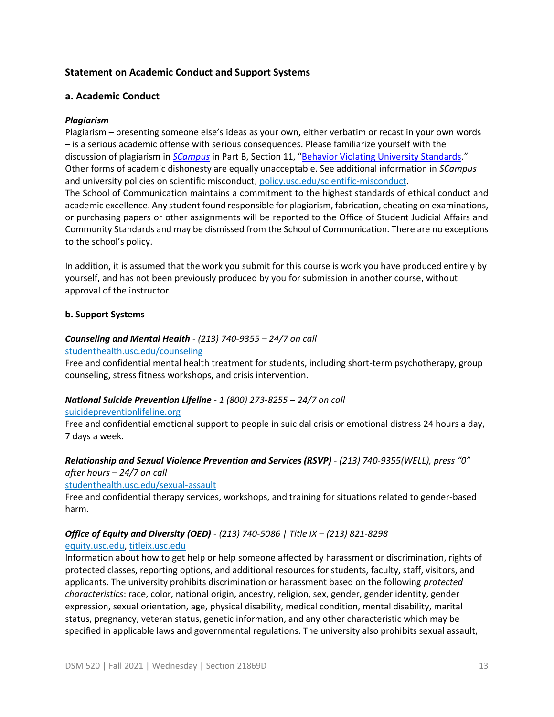## **Statement on Academic Conduct and Support Systems**

## **a. Academic Conduct**

#### *Plagiarism*

Plagiarism – presenting someone else's ideas as your own, either verbatim or recast in your own words – is a serious academic offense with serious consequences. Please familiarize yourself with the discussion of plagiarism in *[SCampus](https://policy.usc.edu/scampus/)* in Part B, Section 11, "[Behavior Violating University Standards.](https://policy.usc.edu/files/2020/07/SCampus-Part-B-2.pdf)" Other forms of academic dishonesty are equally unacceptable. See additional information in *SCampus* and university policies on scientific misconduct[, policy.usc.edu/scientific-misconduct.](http://policy.usc.edu/scientific-misconduct) The School of Communication maintains a commitment to the highest standards of ethical conduct and academic excellence. Any student found responsible for plagiarism, fabrication, cheating on examinations, or purchasing papers or other assignments will be reported to the Office of Student Judicial Affairs and Community Standards and may be dismissed from the School of Communication. There are no exceptions to the school's policy.

In addition, it is assumed that the work you submit for this course is work you have produced entirely by yourself, and has not been previously produced by you for submission in another course, without approval of the instructor.

## **b. Support Systems**

## *Counseling and Mental Health - (213) 740-9355 – 24/7 on call*

#### [studenthealth.usc.edu/counseling](https://studenthealth.usc.edu/counseling/)

Free and confidential mental health treatment for students, including short-term psychotherapy, group counseling, stress fitness workshops, and crisis intervention.

## *National Suicide Prevention Lifeline - 1 (800) 273-8255 – 24/7 on call*

#### [suicidepreventionlifeline.org](http://www.suicidepreventionlifeline.org/)

Free and confidential emotional support to people in suicidal crisis or emotional distress 24 hours a day, [7 d](http://www.suicidepreventionlifeline.org/)ays a week.

## *Relationship and Sexual Violence Prevention and Services (RSVP) - (213) 740-9355(WELL), press "0" after hours – 24/7 on call*

#### [studenthealth.usc.edu/sexual-assault](https://studenthealth.usc.edu/sexual-assault/)

Free and confidential therapy services, workshops, and training for situations related to gender-based harm[.](https://engemannshc.usc.edu/rsvp/)

## *Office of Equity and Diversity (OED) - (213) 740-5086 | Title IX – (213) 821-8298*

#### [equity.usc.edu,](https://equity.usc.edu/) [titleix.usc.edu](http://titleix.usc.edu/)

Information about how to get help or help someone affected by harassment or discrimination, rights of protected classes, reporting options, and additional resources for students, faculty, staff, visitors, and applicants. The university prohibits discrimination or harassment based on the following *protected characteristics*: race, color, national origin, ancestry, religion, sex, gender, gender identity, gender expression, sexual orientation, age, physical disability, medical condition, mental disability, marital status, pregnancy, veteran status, genetic information, and any other characteristic which may be specified in applicable laws and governmental regulations. The university also prohibits sexual assault,